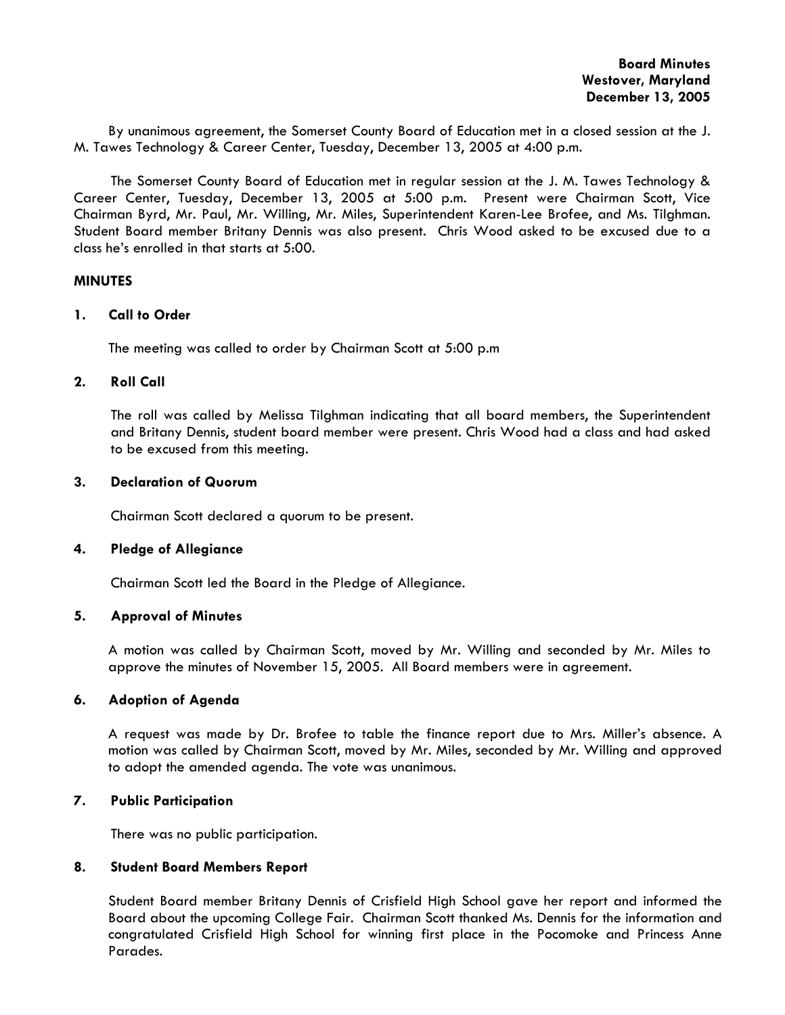By unanimous agreement, the Somerset County Board of Education met in a closed session at the J. M. Tawes Technology & Career Center, Tuesday, December 13, 2005 at 4:00 p.m.

The Somerset County Board of Education met in regular session at the J. M. Tawes Technology & Career Center, Tuesday, December 13, 2005 at 5:00 p.m. Present were Chairman Scott, Vice Chairman Byrd, Mr. Paul, Mr. Willing, Mr. Miles, Superintendent Karen-Lee Brofee, and Ms. Tilghman. Student Board member Britany Dennis was also present. Chris Wood asked to be excused due to a class he's enrolled in that starts at 5:00.

#### **MINUTES**

#### **1. Call to Order**

The meeting was called to order by Chairman Scott at 5:00 p.m

#### **2. Roll Call**

The roll was called by Melissa Tilghman indicating that all board members, the Superintendent and Britany Dennis, student board member were present. Chris Wood had a class and had asked to be excused from this meeting.

#### **3. Declaration of Quorum**

Chairman Scott declared a quorum to be present.

#### **4. Pledge of Allegiance**

Chairman Scott led the Board in the Pledge of Allegiance.

#### **5. Approval of Minutes**

 A motion was called by Chairman Scott, moved by Mr. Willing and seconded by Mr. Miles to approve the minutes of November 15, 2005. All Board members were in agreement.

#### **6. Adoption of Agenda**

A request was made by Dr. Brofee to table the finance report due to Mrs. Miller's absence. A motion was called by Chairman Scott, moved by Mr. Miles, seconded by Mr. Willing and approved to adopt the amended agenda. The vote was unanimous.

## **7. Public Participation**

There was no public participation.

## **8. Student Board Members Report**

 Student Board member Britany Dennis of Crisfield High School gave her report and informed the Board about the upcoming College Fair. Chairman Scott thanked Ms. Dennis for the information and congratulated Crisfield High School for winning first place in the Pocomoke and Princess Anne Parades.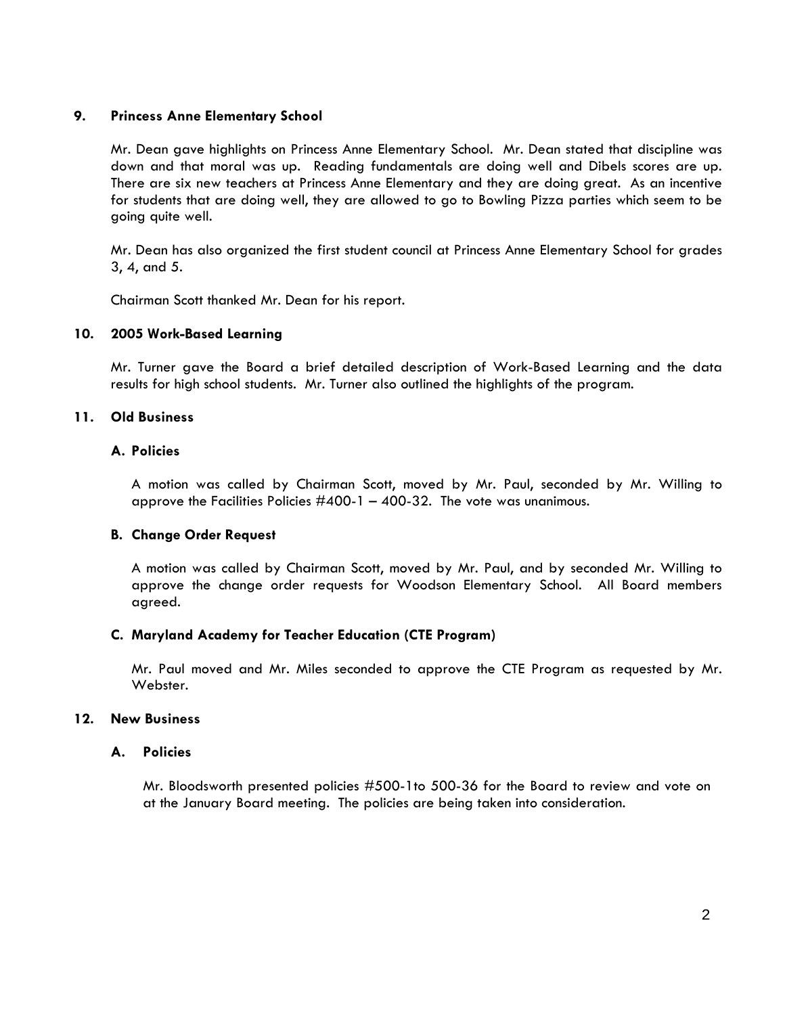# **9. Princess Anne Elementary School**

Mr. Dean gave highlights on Princess Anne Elementary School. Mr. Dean stated that discipline was down and that moral was up. Reading fundamentals are doing well and Dibels scores are up. There are six new teachers at Princess Anne Elementary and they are doing great. As an incentive for students that are doing well, they are allowed to go to Bowling Pizza parties which seem to be going quite well.

Mr. Dean has also organized the first student council at Princess Anne Elementary School for grades 3, 4, and 5.

Chairman Scott thanked Mr. Dean for his report.

## **10. 2005 Work-Based Learning**

Mr. Turner gave the Board a brief detailed description of Work-Based Learning and the data results for high school students. Mr. Turner also outlined the highlights of the program.

## **11. Old Business**

## **A. Policies**

A motion was called by Chairman Scott, moved by Mr. Paul, seconded by Mr. Willing to approve the Facilities Policies  $\#400-1 - 400-32$ . The vote was unanimous.

## **B. Change Order Request**

A motion was called by Chairman Scott, moved by Mr. Paul, and by seconded Mr. Willing to approve the change order requests for Woodson Elementary School. All Board members agreed.

## **C. Maryland Academy for Teacher Education (CTE Program)**

Mr. Paul moved and Mr. Miles seconded to approve the CTE Program as requested by Mr. Webster.

# **12. New Business**

#### **A. Policies**

Mr. Bloodsworth presented policies #500-1to 500-36 for the Board to review and vote on at the January Board meeting. The policies are being taken into consideration.